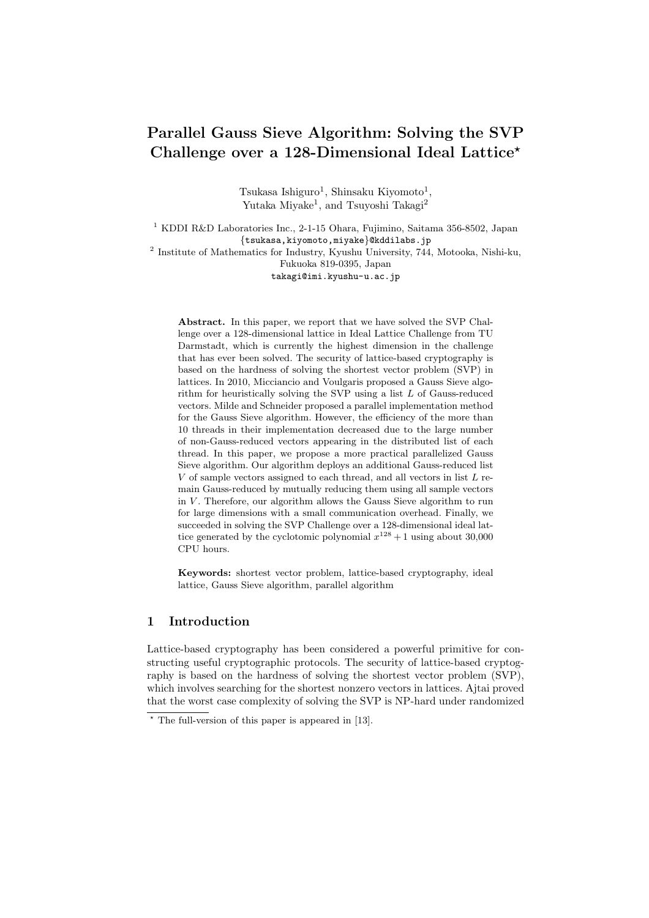# **Parallel Gauss Sieve Algorithm: Solving the SVP Challenge over a 128-Dimensional Ideal Lattice***<sup>⋆</sup>*

Tsukasa Ishiguro<sup>1</sup>, Shinsaku Kiyomoto<sup>1</sup>, Yutaka Miyake<sup>1</sup>, and Tsuyoshi Takagi<sup>2</sup>

<sup>1</sup> KDDI R&D Laboratories Inc., 2-1-15 Ohara, Fujimino, Saitama 356-8502, Japan *{*tsukasa,kiyomoto,miyake*}*@kddilabs.jp 2 Institute of Mathematics for Industry, Kyushu University, 744, Motooka, Nishi-ku,

Fukuoka 819-0395, Japan takagi@imi.kyushu-u.ac.jp

**Abstract.** In this paper, we report that we have solved the SVP Challenge over a 128-dimensional lattice in Ideal Lattice Challenge from TU Darmstadt, which is currently the highest dimension in the challenge that has ever been solved. The security of lattice-based cryptography is based on the hardness of solving the shortest vector problem (SVP) in lattices. In 2010, Micciancio and Voulgaris proposed a Gauss Sieve algorithm for heuristically solving the SVP using a list *L* of Gauss-reduced vectors. Milde and Schneider proposed a parallel implementation method for the Gauss Sieve algorithm. However, the efficiency of the more than 10 threads in their implementation decreased due to the large number of non-Gauss-reduced vectors appearing in the distributed list of each thread. In this paper, we propose a more practical parallelized Gauss Sieve algorithm. Our algorithm deploys an additional Gauss-reduced list *V* of sample vectors assigned to each thread, and all vectors in list *L* remain Gauss-reduced by mutually reducing them using all sample vectors in *V*. Therefore, our algorithm allows the Gauss Sieve algorithm to run for large dimensions with a small communication overhead. Finally, we succeeded in solving the SVP Challenge over a 128-dimensional ideal lattice generated by the cyclotomic polynomial  $x^{128} + 1$  using about 30,000 CPU hours.

**Keywords:** shortest vector problem, lattice-based cryptography, ideal lattice, Gauss Sieve algorithm, parallel algorithm

## **1 Introduction**

Lattice-based cryptography has been considered a powerful primitive for constructing useful cryptographic protocols. The security of lattice-based cryptography is based on the hardness of solving the shortest vector problem (SVP), which involves searching for the shortest nonzero vectors in lattices. Ajtai proved that the worst case complexity of solving the SVP is NP-hard under randomized

*<sup>⋆</sup>* The full-version of this paper is appeared in [13].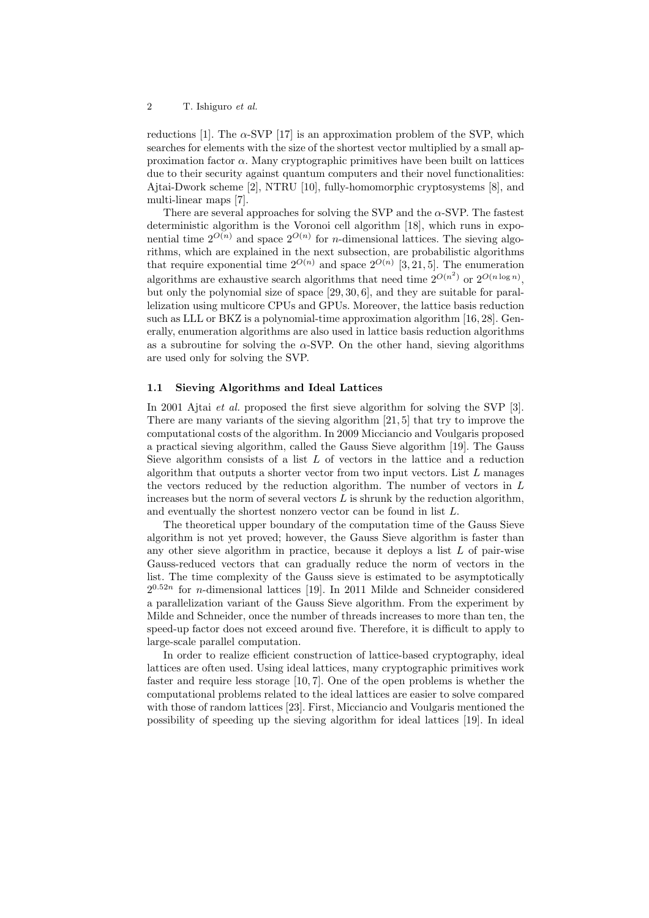reductions [1]. The  $\alpha$ -SVP [17] is an approximation problem of the SVP, which searches for elements with the size of the shortest vector multiplied by a small approximation factor  $\alpha$ . Many cryptographic primitives have been built on lattices due to their security against quantum computers and their novel functionalities: Ajtai-Dwork scheme [2], NTRU [10], fully-homomorphic cryptosystems [8], and multi-linear maps [7].

There are several approaches for solving the SVP and the *α*-SVP. The fastest deterministic algorithm is the Voronoi cell algorithm [18], which runs in exponential time  $2^{O(n)}$  and space  $2^{O(n)}$  for *n*-dimensional lattices. The sieving algorithms, which are explained in the next subsection, are probabilistic algorithms that require exponential time  $2^{O(n)}$  and space  $2^{O(n)}$  [3, 21, 5]. The enumeration algorithms are exhaustive search algorithms that need time  $2^{O(n^2)}$  or  $2^{O(n \log n)}$ , but only the polynomial size of space [29, 30, 6], and they are suitable for parallelization using multicore CPUs and GPUs. Moreover, the lattice basis reduction such as LLL or BKZ is a polynomial-time approximation algorithm [16, 28]. Generally, enumeration algorithms are also used in lattice basis reduction algorithms as a subroutine for solving the  $\alpha$ -SVP. On the other hand, sieving algorithms are used only for solving the SVP.

## **1.1 Sieving Algorithms and Ideal Lattices**

In 2001 Ajtai *et al.* proposed the first sieve algorithm for solving the SVP [3]. There are many variants of the sieving algorithm [21, 5] that try to improve the computational costs of the algorithm. In 2009 Micciancio and Voulgaris proposed a practical sieving algorithm, called the Gauss Sieve algorithm [19]. The Gauss Sieve algorithm consists of a list *L* of vectors in the lattice and a reduction algorithm that outputs a shorter vector from two input vectors. List *L* manages the vectors reduced by the reduction algorithm. The number of vectors in *L* increases but the norm of several vectors  $L$  is shrunk by the reduction algorithm, and eventually the shortest nonzero vector can be found in list *L*.

The theoretical upper boundary of the computation time of the Gauss Sieve algorithm is not yet proved; however, the Gauss Sieve algorithm is faster than any other sieve algorithm in practice, because it deploys a list *L* of pair-wise Gauss-reduced vectors that can gradually reduce the norm of vectors in the list. The time complexity of the Gauss sieve is estimated to be asymptotically  $2^{0.52n}$  for *n*-dimensional lattices [19]. In 2011 Milde and Schneider considered a parallelization variant of the Gauss Sieve algorithm. From the experiment by Milde and Schneider, once the number of threads increases to more than ten, the speed-up factor does not exceed around five. Therefore, it is difficult to apply to large-scale parallel computation.

In order to realize efficient construction of lattice-based cryptography, ideal lattices are often used. Using ideal lattices, many cryptographic primitives work faster and require less storage [10, 7]. One of the open problems is whether the computational problems related to the ideal lattices are easier to solve compared with those of random lattices [23]. First, Micciancio and Voulgaris mentioned the possibility of speeding up the sieving algorithm for ideal lattices [19]. In ideal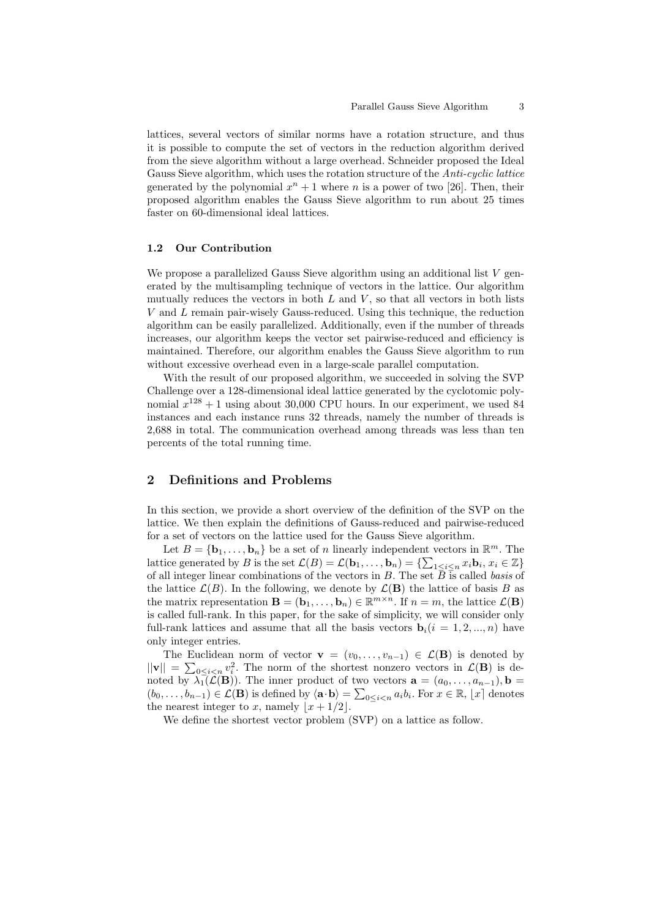lattices, several vectors of similar norms have a rotation structure, and thus it is possible to compute the set of vectors in the reduction algorithm derived from the sieve algorithm without a large overhead. Schneider proposed the Ideal Gauss Sieve algorithm, which uses the rotation structure of the *Anti-cyclic lattice* generated by the polynomial  $x^n + 1$  where *n* is a power of two [26]. Then, their proposed algorithm enables the Gauss Sieve algorithm to run about 25 times faster on 60-dimensional ideal lattices.

### **1.2 Our Contribution**

We propose a parallelized Gauss Sieve algorithm using an additional list V generated by the multisampling technique of vectors in the lattice. Our algorithm mutually reduces the vectors in both *L* and *V* , so that all vectors in both lists *V* and *L* remain pair-wisely Gauss-reduced. Using this technique, the reduction algorithm can be easily parallelized. Additionally, even if the number of threads increases, our algorithm keeps the vector set pairwise-reduced and efficiency is maintained. Therefore, our algorithm enables the Gauss Sieve algorithm to run without excessive overhead even in a large-scale parallel computation.

With the result of our proposed algorithm, we succeeded in solving the SVP Challenge over a 128-dimensional ideal lattice generated by the cyclotomic polynomial  $x^{128} + 1$  using about 30,000 CPU hours. In our experiment, we used 84 instances and each instance runs 32 threads, namely the number of threads is 2,688 in total. The communication overhead among threads was less than ten percents of the total running time.

## **2 Definitions and Problems**

In this section, we provide a short overview of the definition of the SVP on the lattice. We then explain the definitions of Gauss-reduced and pairwise-reduced for a set of vectors on the lattice used for the Gauss Sieve algorithm.

Let  $B = {\mathbf{b}_1, \ldots, \mathbf{b}_n}$  be a set of *n* linearly independent vectors in  $\mathbb{R}^m$ . The lattice generated by B is the set  $\mathcal{L}(B) = \mathcal{L}(\mathbf{b}_1, \dots, \mathbf{b}_n) = \{\sum_{1 \leq i \leq n} x_i \mathbf{b}_i, x_i \in \mathbb{Z}\}\$ of all integer linear combinations of the vectors in  $B$ . The set  $\overline{B}$  is called *basis* of the lattice  $\mathcal{L}(B)$ . In the following, we denote by  $\mathcal{L}(\mathbf{B})$  the lattice of basis *B* as the matrix representation  $\mathbf{B} = (\mathbf{b}_1, \dots, \mathbf{b}_n) \in \mathbb{R}^{m \times n}$ . If  $n = m$ , the lattice  $\mathcal{L}(\mathbf{B})$ is called full-rank. In this paper, for the sake of simplicity, we will consider only full-rank lattices and assume that all the basis vectors  $\mathbf{b}_i(i=1,2,...,n)$  have only integer entries.

The Euclidean norm of vector **v** =  $(v_0, \ldots, v_{n-1}) \in \mathcal{L}(\mathbf{B})$  is denoted by  $||\mathbf{v}|| = \sum_{0 \leq i < n} v_i^2$ . The norm of the shortest nonzero vectors in  $\mathcal{L}(\mathbf{B})$  is denoted by  $\lambda_1(\mathcal{L}(\mathbf{B}))$ . The inner product of two vectors  $\mathbf{a} = (a_0, \ldots, a_{n-1}), \mathbf{b} =$  $(b_0,\ldots,b_{n-1})\in\mathcal{L}(\mathbf{B})$  is defined by  $\langle \mathbf{a}\cdot\mathbf{b}\rangle=\sum_{0\leq i< n}a_ib_i$ . For  $x\in\mathbb{R}, |x|$  denotes the nearest integer to *x*, namely  $|x+1/2|$ .

We define the shortest vector problem (SVP) on a lattice as follow.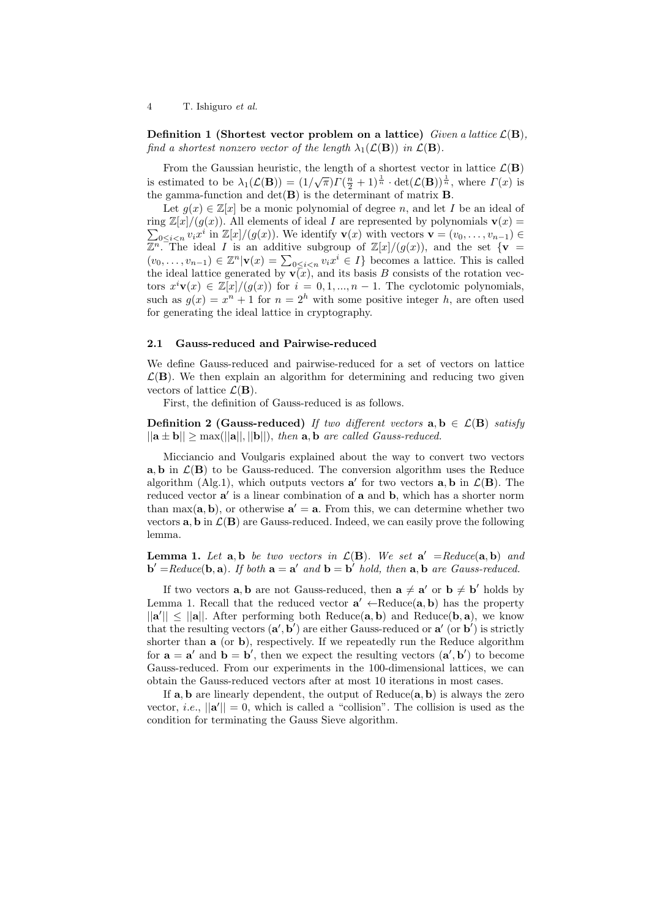4 T. Ishiguro *et al.*

**Definition 1 (Shortest vector problem on a lattice)** *Given a lattice*  $\mathcal{L}(\mathbf{B})$ *, find a shortest nonzero vector of the length*  $\lambda_1(\mathcal{L}(\mathbf{B}))$  *in*  $\mathcal{L}(\mathbf{B})$ *.* 

From the Gaussian heuristic, the length of a shortest vector in lattice  $\mathcal{L}(\mathbf{B})$ is estimated to be  $\lambda_1(\mathcal{L}(\mathbf{B})) = (1/\sqrt{\pi})\Gamma(\frac{n}{2} + 1)^{\frac{1}{n}} \cdot \det(\mathcal{L}(\mathbf{B}))^{\frac{1}{n}}$ , where  $\Gamma(x)$  is the gamma-function and  $det(\mathbf{B})$  is the determinant of matrix **B**.

Let  $g(x) \in \mathbb{Z}[x]$  be a monic polynomial of degree *n*, and let *I* be an ideal of ring  $\mathbb{Z}[x]/(g(x))$ . All elements of ideal *I* are represented by polynomials  $\mathbf{v}(x) =$  $\sum_{0 \leq i < n} v_i x^i$  in  $\mathbb{Z}[x]/(g(x))$ . We identify  $\mathbf{v}(x)$  with vectors  $\mathbf{v} = (v_0, \ldots, v_{n-1}) \in$  $\mathbb{Z}^n$ . The ideal *I* is an additive subgroup of  $\mathbb{Z}[x]/(g(x))$ , and the set  $\{v\}$  $(v_0, \ldots, v_{n-1})$  ∈  $\mathbb{Z}^n | \mathbf{v}(x) = \sum_{0 \leq i < n} v_i x^i \in I$ } becomes a lattice. This is called the ideal lattice generated by  $\mathbf{v}(x)$ , and its basis *B* consists of the rotation vectors  $x^i \mathbf{v}(x) \in \mathbb{Z}[x]/(g(x))$  for  $i = 0, 1, ..., n-1$ . The cyclotomic polynomials, such as  $g(x) = x^n + 1$  for  $n = 2^h$  with some positive integer *h*, are often used for generating the ideal lattice in cryptography.

#### **2.1 Gauss-reduced and Pairwise-reduced**

We define Gauss-reduced and pairwise-reduced for a set of vectors on lattice  $\mathcal{L}(\mathbf{B})$ . We then explain an algorithm for determining and reducing two given vectors of lattice  $\mathcal{L}(\mathbf{B})$ .

First, the definition of Gauss-reduced is as follows.

**Definition 2 (Gauss-reduced)** *If two different vectors*  $\mathbf{a}, \mathbf{b} \in \mathcal{L}(\mathbf{B})$  *satisfy*  $||\mathbf{a} \pm \mathbf{b}|| \ge \max(||\mathbf{a}||, ||\mathbf{b}||),$  *then*  $\mathbf{a}, \mathbf{b}$  *are called Gauss-reduced.* 

Micciancio and Voulgaris explained about the way to convert two vectors **a**, **b** in  $\mathcal{L}(\mathbf{B})$  to be Gauss-reduced. The conversion algorithm uses the Reduce algorithm (Alg.1), which outputs vectors  $a'$  for two vectors  $a, b$  in  $\mathcal{L}(\mathbf{B})$ . The reduced vector **a** *′* is a linear combination of **a** and **b**, which has a shorter norm than max( $\mathbf{a}, \mathbf{b}$ ), or otherwise  $\mathbf{a}' = \mathbf{a}$ . From this, we can determine whether two vectors  $\bf{a}, \bf{b}$  in  $\mathcal{L}(\bf{B})$  are Gauss-reduced. Indeed, we can easily prove the following lemma.

**Lemma 1.** Let  $\mathbf{a}, \mathbf{b}$  be two vectors in  $\mathcal{L}(\mathbf{B})$ . We set  $\mathbf{a}' = Reduce(\mathbf{a}, \mathbf{b})$  and  $\mathbf{b}' = \text{Reduce}(\mathbf{b}, \mathbf{a})$ . If both  $\mathbf{a} = \mathbf{a}'$  and  $\mathbf{b} = \mathbf{b}'$  hold, then  $\mathbf{a}, \mathbf{b}$  are Gauss-reduced.

If two vectors  $\bf{a}$ ,  $\bf{b}$  are not Gauss-reduced, then  $\bf{a} \neq \bf{a}'$  or  $\bf{b} \neq \bf{b}'$  holds by Lemma 1. Recall that the reduced vector  $\mathbf{a}' \leftarrow \text{Reduce}(\mathbf{a}, \mathbf{b})$  has the property  $||\mathbf{a}'|| \le ||\mathbf{a}||$ . After performing both Reduce $(\mathbf{a}, \mathbf{b})$  and Reduce $(\mathbf{b}, \mathbf{a})$ , we know that the resulting vectors  $(\mathbf{a}', \mathbf{b}')$  are either Gauss-reduced or  $\mathbf{a}'$  (or  $\mathbf{b}'$ ) is strictly shorter than **a** (or **b**), respectively. If we repeatedly run the Reduce algorithm for  $\mathbf{a} = \mathbf{a}'$  and  $\mathbf{b} = \mathbf{b}'$ , then we expect the resulting vectors  $(\mathbf{a}', \mathbf{b}')$  to become Gauss-reduced. From our experiments in the 100-dimensional lattices, we can obtain the Gauss-reduced vectors after at most 10 iterations in most cases.

If **a***,* **b** are linearly dependent, the output of Reduce(**a***,* **b**) is always the zero vector, *i.e.*,  $||\mathbf{a}'|| = 0$ , which is called a "collision". The collision is used as the condition for terminating the Gauss Sieve algorithm.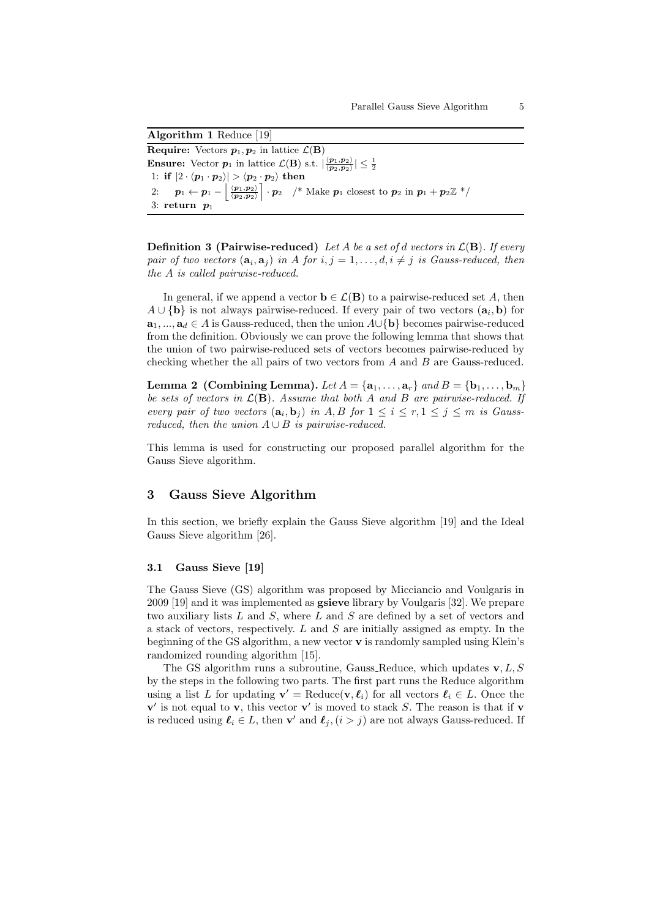**Algorithm 1** Reduce [19] **Require:** Vectors  $p_1, p_2$  in lattice  $\mathcal{L}(\mathbf{B})$ **Ensure:** Vector  $p_1$  in lattice  $\mathcal{L}(\mathbf{B})$  s.t.  $\left|\frac{\langle p_1, p_2 \rangle}{\langle p_2, p_2 \rangle}\right| \leq \frac{1}{2}$ 1: if  $|2 \cdot \langle p_1 \cdot p_2 \rangle| > \langle p_2 \cdot p_2 \rangle$  then 2:  $p_1 \leftarrow p_1 - \left\lfloor \frac{\langle p_1, p_2 \rangle}{\langle p_2, p_2 \rangle} \right\rfloor$  $\left[\begin{array}{cc} \cdot & \cdot \\ \cdot & p_2 \end{array}\right]$  *\** Make  $p_1$  closest to  $p_2$  in  $p_1 + p_2 \mathbb{Z}$  \*/ 3: **return** 

**Definition 3 (Pairwise-reduced)** *Let A be a set of d vectors in L*(**B**)*. If every pair of two vectors*  $(\mathbf{a}_i, \mathbf{a}_j)$  *in A for*  $i, j = 1, \ldots, d, i \neq j$  *is Gauss-reduced, then the A is called pairwise-reduced.*

In general, if we append a vector  $\mathbf{b} \in \mathcal{L}(\mathbf{B})$  to a pairwise-reduced set A, then *A ∪ {***b***}* is not always pairwise-reduced. If every pair of two vectors (**a***<sup>i</sup> ,* **b**) for **a**1*, ...,* **a***<sup>d</sup> ∈ A* is Gauss-reduced, then the union *A∪{***b***}* becomes pairwise-reduced from the definition. Obviously we can prove the following lemma that shows that the union of two pairwise-reduced sets of vectors becomes pairwise-reduced by checking whether the all pairs of two vectors from *A* and *B* are Gauss-reduced.

**Lemma 2** (Combining Lemma). Let  $A = \{a_1, \ldots, a_r\}$  and  $B = \{b_1, \ldots, b_m\}$ *be sets of vectors in L*(**B**)*. Assume that both A and B are pairwise-reduced. If every pair of two vectors*  $(\mathbf{a}_i, \mathbf{b}_j)$  *in*  $A, B$  *for*  $1 \leq i \leq r, 1 \leq j \leq m$  *is Gaussreduced, then the union*  $A \cup B$  *is pairwise-reduced.* 

This lemma is used for constructing our proposed parallel algorithm for the Gauss Sieve algorithm.

# **3 Gauss Sieve Algorithm**

In this section, we briefly explain the Gauss Sieve algorithm [19] and the Ideal Gauss Sieve algorithm [26].

#### **3.1 Gauss Sieve [19]**

The Gauss Sieve (GS) algorithm was proposed by Micciancio and Voulgaris in 2009 [19] and it was implemented as **gsieve** library by Voulgaris [32]. We prepare two auxiliary lists *L* and *S*, where *L* and *S* are defined by a set of vectors and a stack of vectors, respectively. *L* and *S* are initially assigned as empty. In the beginning of the GS algorithm, a new vector **v** is randomly sampled using Klein's randomized rounding algorithm [15].

The GS algorithm runs a subroutine, Gauss Reduce, which updates **v***, L, S* by the steps in the following two parts. The first part runs the Reduce algorithm using a list *L* for updating  $\mathbf{v}' = \text{Reduce}(\mathbf{v}, \ell_i)$  for all vectors  $\ell_i \in L$ . Once the  $\mathbf{v}'$  is not equal to **v**, this vector **v**<sup> $\prime$ </sup> is moved to stack *S*. The reason is that if **v** is reduced using  $\ell_i \in L$ , then **v**' and  $\ell_j$ ,  $(i > j)$  are not always Gauss-reduced. If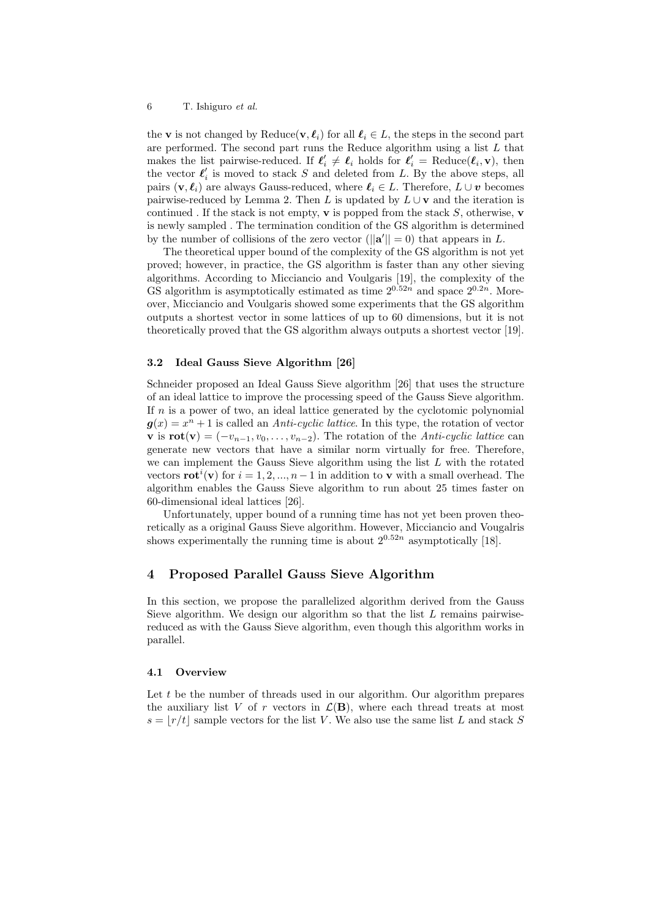the **v** is not changed by Reduce(**v***,*  $\ell_i$ ) for all  $\ell_i \in L$ , the steps in the second part are performed. The second part runs the Reduce algorithm using a list *L* that makes the list pairwise-reduced. If  $\ell'_i \neq \ell_i$  holds for  $\ell'_i$  = Reduce $(\ell_i, \mathbf{v})$ , then the vector  $\ell'_i$  is moved to stack  $S$  and deleted from  $L$ . By the above steps, all pairs  $(\mathbf{v}, \ell_i)$  are always Gauss-reduced, where  $\ell_i \in L$ . Therefore,  $L \cup v$  becomes pairwise-reduced by Lemma 2. Then *L* is updated by  $L \cup \mathbf{v}$  and the iteration is continued . If the stack is not empty, **v** is popped from the stack  $S$ , otherwise, **v** is newly sampled . The termination condition of the GS algorithm is determined by the number of collisions of the zero vector  $(||\mathbf{a}'|| = 0)$  that appears in *L*.

The theoretical upper bound of the complexity of the GS algorithm is not yet proved; however, in practice, the GS algorithm is faster than any other sieving algorithms. According to Micciancio and Voulgaris [19], the complexity of the GS algorithm is asymptotically estimated as time  $2^{0.52n}$  and space  $2^{0.2n}$ . Moreover, Micciancio and Voulgaris showed some experiments that the GS algorithm outputs a shortest vector in some lattices of up to 60 dimensions, but it is not theoretically proved that the GS algorithm always outputs a shortest vector [19].

#### **3.2 Ideal Gauss Sieve Algorithm [26]**

Schneider proposed an Ideal Gauss Sieve algorithm [26] that uses the structure of an ideal lattice to improve the processing speed of the Gauss Sieve algorithm. If *n* is a power of two, an ideal lattice generated by the cyclotomic polynomial  $g(x) = x^n + 1$  is called an *Anti-cyclic lattice*. In this type, the rotation of vector **v** is  $\text{rot}(\textbf{v}) = (-v_{n-1}, v_0, \ldots, v_{n-2})$ . The rotation of the *Anti-cyclic lattice* can generate new vectors that have a similar norm virtually for free. Therefore, we can implement the Gauss Sieve algorithm using the list *L* with the rotated vectors **rot**<sup>*i*</sup>(**v**) for  $i = 1, 2, ..., n-1$  in addition to **v** with a small overhead. The algorithm enables the Gauss Sieve algorithm to run about 25 times faster on 60-dimensional ideal lattices [26].

Unfortunately, upper bound of a running time has not yet been proven theoretically as a original Gauss Sieve algorithm. However, Micciancio and Vougalris shows experimentally the running time is about  $2^{0.52n}$  asymptotically [18].

## **4 Proposed Parallel Gauss Sieve Algorithm**

In this section, we propose the parallelized algorithm derived from the Gauss Sieve algorithm. We design our algorithm so that the list *L* remains pairwisereduced as with the Gauss Sieve algorithm, even though this algorithm works in parallel.

### **4.1 Overview**

Let *t* be the number of threads used in our algorithm. Our algorithm prepares the auxiliary list *V* of *r* vectors in  $\mathcal{L}(\mathbf{B})$ , where each thread treats at most  $s = |r/t|$  sample vectors for the list *V*. We also use the same list *L* and stack *S*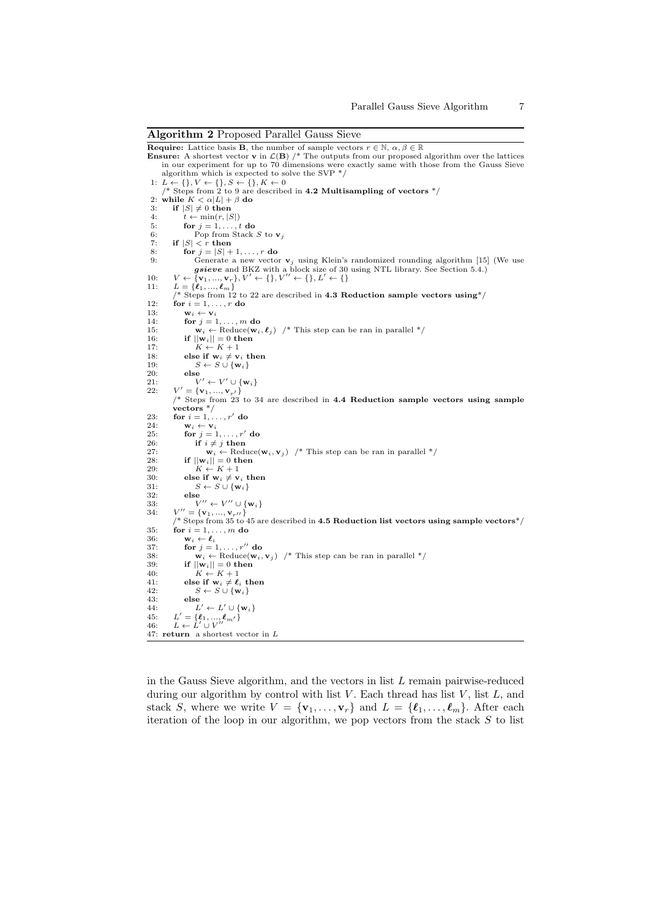**Algorithm 2** Proposed Parallel Gauss Sieve **Require:** Lattice basis **B**, the number of sample vectors  $r \in \mathbb{N}$ ,  $\alpha, \beta \in \mathbb{R}$ <br>**Ensure:** A shortest vector **v** in  $\mathcal{L}(\mathbf{B})$  /\* The outputs from our proposed algorithm over the lattices in our experiment for up to 70 dimensions were exactly same with those from the Gauss Sieve algorithm which is expected to solve the SVP \*/<br>1:  $L \leftarrow \{\}, V \leftarrow \{\}, S \leftarrow \{\}, K \leftarrow 0$ <br>  $\neq$  \* Steps from 2 to 9 are described in 4.2 Multisampling of vectors \*/<br>2: while  $K < \alpha |L| + \beta$  do 3: **if**  $|S| \neq 0$  **then**<br>4: *t*  $\leftarrow$  min $(r, |S|)$ 4:  $t \leftarrow \min(r, |S|)$ <br>5: **for**  $j = 1, \ldots, t$  **do** 6: Pop from Stack *S* to **v**<sub>*j*</sub> 7: **if**  $|S| < r$  then if  $|S| < r$  then 8: **for**  $j = |S| + 1, \ldots, r$  **do**<br>9: **Generate a new vector** 9: Generate a new vector  $\mathbf{v}_j$  using Klein's randomized rounding algorithm [15] (We use **gsieve** and BKZ with a block size of 30 using NTL library. See Section 5.4.)<br>10:  $V \leftarrow {\mathbf{v}_1, ..., \mathbf{v}_r}, V' \leftarrow {\mathbf{v}' \in \{0, L' \leftarrow \{\}$ 11:  $L = \{\ell_1, ..., \ell_m\}$ <br>/\* Steps from 12 to 22 are described in **4.3 Reduction sample vectors using**\*/ 12: **for**  $i = 1, ..., r$  **do** 13: **w**<sub>*i*</sub>  $\leftarrow$  **v**<sub>*i*</sub><br>14: **for** *i* = 1 14: **for**  $j = 1, ..., m$  **do**<br>15: **w**<sub>i</sub>  $\leftarrow$  Reduce(**w**<sub>i</sub> 15: **w**<sub>*i*</sub>  $\leftarrow$  Reduce(**w***i*,  $\ell_j$ ) /\* This step can be ran in parallel \*/<br>16: **if**  $||\mathbf{w}_i|| = 0$  **then** 16: **if**  $||\mathbf{w}_i|| = 0$  then<br>17:  $K \leftarrow K + 1$  $K \leftarrow K + 1$ 18: **else if**  $\mathbf{w}_i \neq \mathbf{v}_i$  **then**<br>
19:  $S \leftarrow S \cup \{\mathbf{w}_i\}$ 20: **else** 21:  $V' \leftarrow V' \cup \{$ <br>
22:  $V' = \{v_1, ..., v_{r'}\}$  $\mathbf{v}' \leftarrow V' \cup \{\mathbf{w}_i\}$ 22: *V* /\* Steps from 23 to 34 are described in **4.4 Reduction sample vectors using sample vectors** \*/ 23: **for**  $i = 1, \ldots, r'$  do<br>24: **w**<sub>*i*</sub>  $\leftarrow$  **v**<sub>*i*</sub> 24:  $\mathbf{w}_i \leftarrow \mathbf{v}_i$ <br>25: for  $j = 1$ 25: **for**  $j = 1, ..., r'$  do<br>26: **if**  $i \neq j$  then 26: **if**  $i \neq j$  **then**<br>27: **w**<sub>i</sub>  $\leftarrow$  Redu 27: **w**<sub>*i*</sub>  $\leftarrow$  Reduce(**w**<sub>*i*</sub>, **v**<sub>*j*</sub>) /\* This step can be ran in parallel \*/<br>28. **if**  $||\mathbf{w}_i|| = 0$  then 28: **if**  $||\mathbf{w}_i|| = 0$  then<br>29:  $K \leftarrow K + 1$ 29:  $K \leftarrow K + 1$ <br>30: **else if**  $\mathbf{w}_i \neq \mathbf{v}_i$  $30:$  **else if**  $\mathbf{w}_i \neq \mathbf{v}_i$  **then**<br>  $S \leftarrow S \cup {\mathbf{w}_i}$ 32: **else**<br>  $V'' \leftarrow V'' \cup {\mathbf{w}_i}$ 33:  $V'' \leftarrow V'' \cup \{w_i\}$ <br>
34:  $V'' = \{v_1, ..., v_{r''}\}$ <br>
/\* Steps from 35 to 45 are described in **4.5 Reduction list vectors using sample vectors**\*/<br>
35: **for**  $i = 1, ..., m$  **do**<br>
36:  $w_i \leftarrow \ell_i$ 34: *V* 37: **for**  $j = 1, ..., r''$  **do**<br>38:  $\mathbf{w} \leftarrow \text{Reduce}(\mathbf{w})$ 38: **w**<sub>*i*</sub>  $\leftarrow$  Reduce(**w**<sub>*i*</sub>, **v**<sub>*j*</sub>) /\* This step can be ran in parallel \*/<br>39. **if**  $\left| \frac{\mathbf{w}_i}{\mathbf{w}_i} \right| = 0$  then  $\mathbf{i} \mathbf{f}$   $||\mathbf{w}_i|| = 0$  then  $40:$   $K \leftarrow K + 1$ <br>  $41:$  **else if**  $\mathbf{w}_i \neq \ell_i$  **then** 42:  $S \leftarrow S \cup \{\mathbf{w}_i\}$ <br>43: else 43: **else**<br>  $L' \leftarrow L' \cup \{\mathbf{w}_i\}$ 45: *L* 45:  $L' = {\ell_1, ..., \ell_m, \ell}$ <br>
46:  $L \leftarrow L' \cup V''$ 47: **return** a shortest vector in *L*

in the Gauss Sieve algorithm, and the vectors in list *L* remain pairwise-reduced during our algorithm by control with list *V*. Each thread has list *V*, list *L*, and stack *S*, where we write  $V = {\mathbf{v}_1, \dots, \mathbf{v}_r}$  and  $L = {\ell_1, \dots, \ell_m}$ . After each iteration of the loop in our algorithm, we pop vectors from the stack *S* to list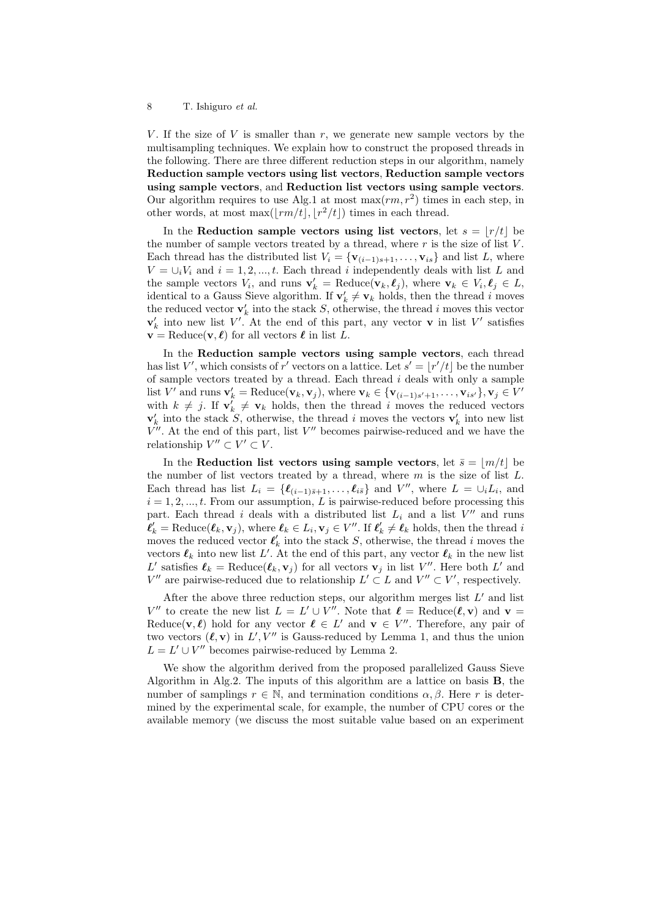#### 8 T. Ishiguro *et al.*

*V*. If the size of *V* is smaller than  $r$ , we generate new sample vectors by the multisampling techniques. We explain how to construct the proposed threads in the following. There are three different reduction steps in our algorithm, namely **Reduction sample vectors using list vectors**, **Reduction sample vectors using sample vectors**, and **Reduction list vectors using sample vectors**. Our algorithm requires to use Alg.1 at most  $\max(rm, r^2)$  times in each step, in other words, at most  $\max([rm/t], [r^2/t])$  times in each thread.

In the **Reduction sample vectors using list vectors, let**  $s = \lfloor r/t \rfloor$  **be** the number of sample vectors treated by a thread, where  $r$  is the size of list  $V$ . Each thread has the distributed list  $V_i = {\mathbf{v}_{(i-1)s+1}, \ldots, \mathbf{v}_{is}}$  and list *L*, where  $V = \bigcup_i V_i$  and  $i = 1, 2, ..., t$ . Each thread *i* independently deals with list *L* and the sample vectors  $V_i$ , and runs  $\mathbf{v}'_k = \text{Reduce}(\mathbf{v}_k, \ell_j)$ , where  $\mathbf{v}_k \in V_i, \ell_j \in L$ , identical to a Gauss Sieve algorithm. If  $\mathbf{v}'_k \neq \mathbf{v}_k$  holds, then the thread *i* moves the reduced vector  $\mathbf{v}'_k$  into the stack *S*, otherwise, the thread *i* moves this vector  $\mathbf{v}'_k$  into new list *V*'. At the end of this part, any vector **v** in list *V*' satisfies  $\mathbf{v} = \text{Reduce}(\mathbf{v}, \ell)$  for all vectors  $\ell$  in list *L*.

In the **Reduction sample vectors using sample vectors**, each thread has list *V*', which consists of *r*' vectors on a lattice. Let  $s' = \lfloor r'/t \rfloor$  be the number of sample vectors treated by a thread. Each thread *i* deals with only a sample list V' and runs  $\mathbf{v}'_k = \text{Reduce}(\mathbf{v}_k, \mathbf{v}_j)$ , where  $\mathbf{v}_k \in {\mathbf{v}_{(i-1)s'+1}, \ldots, \mathbf{v}_{is'}}$ ,  $\mathbf{v}_j \in V'$ with  $k \neq j$ . If  $\mathbf{v}'_k \neq \mathbf{v}_k$  holds, then the thread *i* moves the reduced vectors  $\mathbf{v}'_k$  into the stack *S*, otherwise, the thread *i* moves the vectors  $\mathbf{v}'_k$  into new list *V ′′*. At the end of this part, list *V ′′* becomes pairwise-reduced and we have the relationship  $V'' \subset V' \subset V$ .

In the **Reduction list vectors using sample vectors, let**  $\bar{s} = |m/t|$  **be** the number of list vectors treated by a thread, where *m* is the size of list *L*. Each thread has list  $L_i = \{\ell_{(i-1)\bar{s}+1}, \ldots, \ell_{i\bar{s}}\}$  and  $V''$ , where  $L = \bigcup_i L_i$ , and  $i = 1, 2, \ldots, t$ . From our assumption, *L* is pairwise-reduced before processing this part. Each thread *i* deals with a distributed list  $L_i$  and a list  $V''$  and runs  $\ell'_k = \text{Reduce}(\ell_k, \mathbf{v}_j)$ , where  $\ell_k \in L_i, \mathbf{v}_j \in V''$ . If  $\ell'_k \neq \ell_k$  holds, then the thread i moves the reduced vector  $\ell'_{k}$  into the stack *S*, otherwise, the thread *i* moves the vectors  $\ell_k$  into new list *L'*. At the end of this part, any vector  $\ell_k$  in the new list *L*<sup> $\prime$ </sup> satisfies  $\ell_k = \text{Reduce}(\ell_k, \mathbf{v}_j)$  for all vectors  $\mathbf{v}_j$  in list *V*<sup> $\prime$ </sup>. Here both *L*<sup> $\prime$ </sup> and *V*<sup>*′′*</sup> are pairwise-reduced due to relationship  $L' \subset L$  and  $V'' \subset V'$ , respectively.

After the above three reduction steps, our algorithm merges list *L ′* and list *V*<sup>"</sup> to create the new list  $L = L' \cup V''$ . Note that  $\ell = \text{Reduce}(\ell, \mathbf{v})$  and  $\mathbf{v} =$ Reduce( $\mathbf{v}, \ell$ ) hold for any vector  $\ell \in L'$  and  $\mathbf{v} \in V''$ . Therefore, any pair of two vectors  $(\ell, \mathbf{v})$  in  $L'$ ,  $V''$  is Gauss-reduced by Lemma 1, and thus the union  $L = L' \cup V''$  becomes pairwise-reduced by Lemma 2.

We show the algorithm derived from the proposed parallelized Gauss Sieve Algorithm in Alg.2. The inputs of this algorithm are a lattice on basis **B**, the number of samplings  $r \in \mathbb{N}$ , and termination conditions  $\alpha, \beta$ . Here *r* is determined by the experimental scale, for example, the number of CPU cores or the available memory (we discuss the most suitable value based on an experiment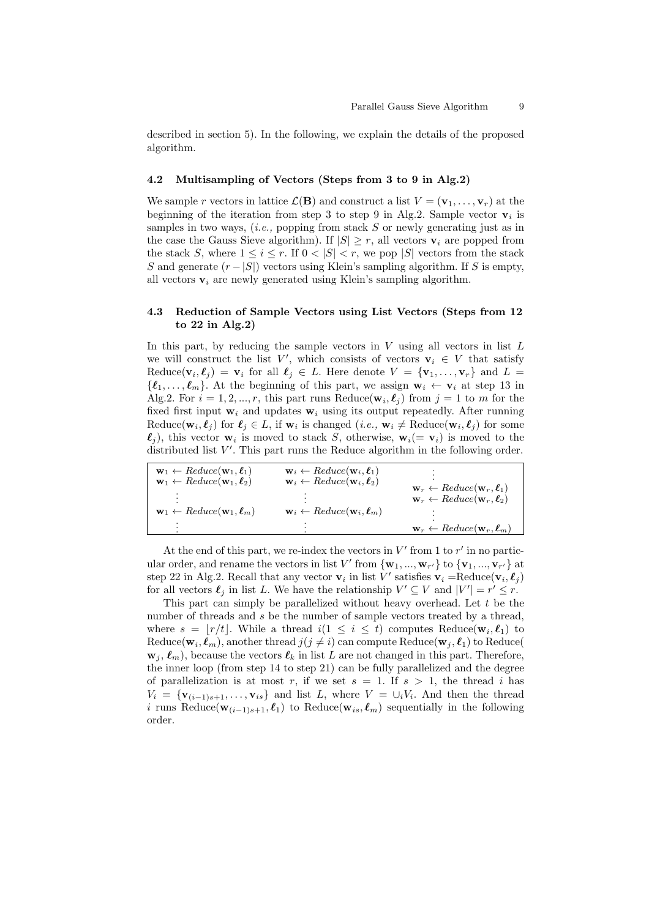described in section 5). In the following, we explain the details of the proposed algorithm.

#### **4.2 Multisampling of Vectors (Steps from 3 to 9 in Alg.2)**

We sample *r* vectors in lattice  $\mathcal{L}(\mathbf{B})$  and construct a list  $V = (\mathbf{v}_1, \dots, \mathbf{v}_r)$  at the beginning of the iteration from step 3 to step 9 in Alg.2. Sample vector  $\mathbf{v}_i$  is samples in two ways, (*i.e.,* popping from stack *S* or newly generating just as in the case the Gauss Sieve algorithm). If  $|S| \geq r$ , all vectors  $\mathbf{v}_i$  are popped from the stack *S*, where  $1 \leq i \leq r$ . If  $0 \leq |S| \leq r$ , we pop  $|S|$  vectors from the stack *S* and generate  $(r - |S|)$  vectors using Klein's sampling algorithm. If *S* is empty, all vectors  $v_i$  are newly generated using Klein's sampling algorithm.

## **4.3 Reduction of Sample Vectors using List Vectors (Steps from 12 to 22 in Alg.2)**

In this part, by reducing the sample vectors in *V* using all vectors in list *L* we will construct the list  $V'$ , which consists of vectors  $\mathbf{v}_i \in V$  that satisfy  $\text{Reduce}(\mathbf{v}_i, \ell_j) = \mathbf{v}_i$  for all  $\ell_j \in L$ . Here denote  $V = {\mathbf{v}_1, \dots, \mathbf{v}_r}$  and  $L =$  $\{\ell_1, \ldots, \ell_m\}$ . At the beginning of this part, we assign  $\mathbf{w}_i \leftarrow \mathbf{v}_i$  at step 13 in Alg.2. For  $i = 1, 2, ..., r$ , this part runs Reduce( $\mathbf{w}_i, \ell_j$ ) from  $j = 1$  to *m* for the fixed first input  $w_i$  and updates  $w_i$  using its output repeatedly. After running Reduce( $\mathbf{w}_i, \ell_j$ ) for  $\ell_j \in L$ , if  $\mathbf{w}_i$  is changed (*i.e.*,  $\mathbf{w}_i \neq \text{Reduce}(\mathbf{w}_i, \ell_j)$  for some  $\ell_j$ ), this vector  $\mathbf{w}_i$  is moved to stack *S*, otherwise,  $\mathbf{w}_i (= \mathbf{v}_i)$  is moved to the distributed list  $V'$ . This part runs the Reduce algorithm in the following order.

| $\mathbf{w}_1 \leftarrow Reduce(\mathbf{w}_1, \ell_1)$<br>$\mathbf{w}_1 \leftarrow Reduce(\mathbf{w}_1, \ell_2)$ | $\mathbf{w}_i \leftarrow Reduce(\mathbf{w}_i, \boldsymbol{\ell}_1)$<br>$\mathbf{w}_i \leftarrow Reduce(\mathbf{w}_i, \ell_2)$ | $\mathbf{w}_r \leftarrow Reduce(\mathbf{w}_r, \ell_1)$ |
|------------------------------------------------------------------------------------------------------------------|-------------------------------------------------------------------------------------------------------------------------------|--------------------------------------------------------|
| $\mathbf{w}_1 \leftarrow Reduce(\mathbf{w}_1, \ell_m)$                                                           | $\mathbf{w}_i \leftarrow Reduce(\mathbf{w}_i, \boldsymbol{\ell}_m)$                                                           | $\mathbf{w}_r \leftarrow Reduce(\mathbf{w}_r, \ell_2)$ |
| ٠                                                                                                                | ٠                                                                                                                             | $\mathbf{w}_r \leftarrow Reduce(\mathbf{w}_r, \ell_m)$ |

At the end of this part, we re-index the vectors in  $V'$  from 1 to  $r'$  in no particular order, and rename the vectors in list  $V'$  from  ${\bf \{w_1, ..., w_{r'}\} \text{ to } {\bf \{v_1, ..., v_{r'}\}}$  at step 22 in Alg.2. Recall that any vector  $\mathbf{v}_i$  in list *V'* satisfies  $\mathbf{v}_i = \text{Reduce}(\mathbf{v}_i, \ell_j)$ for all vectors  $\ell_j$  in list *L*. We have the relationship  $V' \subseteq V$  and  $|V'| = r' \leq r$ .

This part can simply be parallelized without heavy overhead. Let *t* be the number of threads and *s* be the number of sample vectors treated by a thread, where  $s = \lfloor r/t \rfloor$ . While a thread  $i(1 \leq i \leq t)$  computes Reduce( $\mathbf{w}_i, \ell_1$ ) to  $\text{Reduce}(\mathbf{w}_i, \boldsymbol{\ell}_m)$ , another thread  $j(j \neq i)$  can compute  $\text{Reduce}(\mathbf{w}_j, \boldsymbol{\ell}_1)$  to  $\text{Reduce}(\boldsymbol{\ell}_j)$  $\mathbf{w}_j$ ,  $\ell_m$ ), because the vectors  $\ell_k$  in list *L* are not changed in this part. Therefore, the inner loop (from step 14 to step 21) can be fully parallelized and the degree of parallelization is at most r, if we set  $s = 1$ . If  $s > 1$ , the thread i has  $V_i = \{ \mathbf{v}_{(i-1)s+1}, \ldots, \mathbf{v}_{is} \}$  and list *L*, where  $V = \bigcup_i V_i$ . And then the thread *i* runs Reduce( $\mathbf{w}_{(i-1)s+1}, \ell_1$ ) to Reduce( $\mathbf{w}_{is}, \ell_m$ ) sequentially in the following order.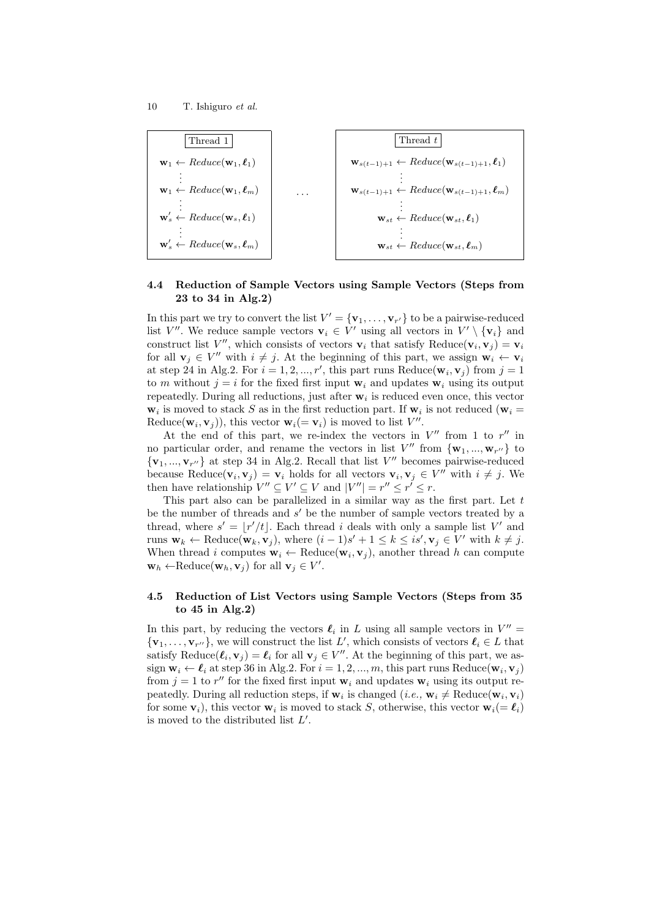

## **4.4 Reduction of Sample Vectors using Sample Vectors (Steps from 23 to 34 in Alg.2)**

In this part we try to convert the list  $V' = {\mathbf{v}_1, \ldots, \mathbf{v}_{r'}}$  to be a pairwise-reduced list *V*<sup>*′′*</sup>. We reduce sample vectors  $\mathbf{v}_i \in V'$  using all vectors in  $V' \setminus {\mathbf{v}_i}$  and construct list *V*<sup>*''*</sup>, which consists of vectors  $\mathbf{v}_i$  that satisfy Reduce( $\mathbf{v}_i, \mathbf{v}_j$ ) =  $\mathbf{v}_i$ for all  $\mathbf{v}_j \in V''$  with  $i \neq j$ . At the beginning of this part, we assign  $\mathbf{w}_i \leftarrow \mathbf{v}_i$ at step 24 in Alg.2. For  $i = 1, 2, ..., r'$ , this part runs Reduce( $\mathbf{w}_i, \mathbf{v}_j$ ) from  $j = 1$ to *m* without  $j = i$  for the fixed first input  $\mathbf{w}_i$  and updates  $\mathbf{w}_i$  using its output repeatedly. During all reductions, just after **w***<sup>i</sup>* is reduced even once, this vector  $\mathbf{w}_i$  is moved to stack *S* as in the first reduction part. If  $\mathbf{w}_i$  is not reduced ( $\mathbf{w}_i =$ Reduce( $\mathbf{w}_i, \mathbf{v}_j$ )), this vector  $\mathbf{w}_i (= \mathbf{v}_i)$  is moved to list  $V''$ .

At the end of this part, we re-index the vectors in  $V''$  from 1 to  $r''$  in no particular order, and rename the vectors in list  $V''$  from  ${\bf \{w_1, ..., w_{r''}\}\}$  to  $\{v_1, ..., v_{r''}\}\$ at step 34 in Alg.2. Recall that list *V''* becomes pairwise-reduced because Reduce( $\mathbf{v}_i, \mathbf{v}_j$ ) =  $\mathbf{v}_i$  holds for all vectors  $\mathbf{v}_i, \mathbf{v}_j \in V''$  with  $i \neq j$ . We then have relationship  $V'' \subseteq V' \subseteq V$  and  $|V''| = r'' \le r' \le r$ .

This part also can be parallelized in a similar way as the first part. Let *t* be the number of threads and *s ′* be the number of sample vectors treated by a thread, where  $s' = \lfloor r'/t \rfloor$ . Each thread *i* deals with only a sample list *V'* and runs  $\mathbf{w}_k \leftarrow \text{Reduce}(\mathbf{w}_k, \mathbf{v}_j)$ , where  $(i-1)s' + 1 \leq k \leq is', \mathbf{v}_j \in V'$  with  $k \neq j$ . When thread *i* computes  $\mathbf{w}_i \leftarrow \text{Reduce}(\mathbf{w}_i, \mathbf{v}_j)$ , another thread *h* can compute  $\mathbf{w}_h \leftarrow \text{Reduce}(\mathbf{w}_h, \mathbf{v}_j)$  for all  $\mathbf{v}_j \in V'.$ 

## **4.5 Reduction of List Vectors using Sample Vectors (Steps from 35 to 45 in Alg.2)**

In this part, by reducing the vectors  $\ell_i$  in *L* using all sample vectors in  $V'' =$  $\{v_1, \ldots, v_{r''}\}$ , we will construct the list *L*', which consists of vectors  $\ell_i \in L$  that satisfy  $\text{Reduce}(\ell_i, \mathbf{v}_j) = \ell_i$  for all  $\mathbf{v}_j \in V''$ . At the beginning of this part, we as- $\mathbf{w}_i \leftarrow \ell_i$  at step 36 in Alg.2. For  $i = 1, 2, ..., m$ , this part runs Reduce $(\mathbf{w}_i, \mathbf{v}_j)$ from  $j = 1$  to  $r''$  for the fixed first input  $\mathbf{w}_i$  and updates  $\mathbf{w}_i$  using its output repeatedly. During all reduction steps, if  $\mathbf{w}_i$  is changed (*i.e.*,  $\mathbf{w}_i \neq \text{Reduce}(\mathbf{w}_i, \mathbf{v}_i)$ for some  $\mathbf{v}_i$ ), this vector  $\mathbf{w}_i$  is moved to stack *S*, otherwise, this vector  $\mathbf{w}_i(=\boldsymbol{\ell}_i)$ is moved to the distributed list *L ′* .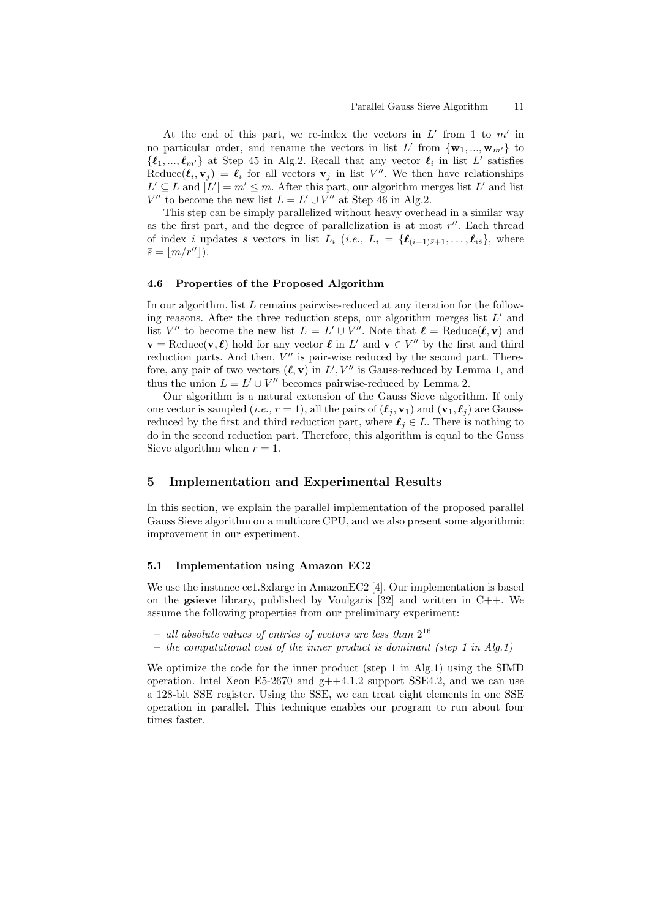At the end of this part, we re-index the vectors in  $L'$  from 1 to  $m'$  in no particular order, and rename the vectors in list  $L'$  from  ${\bf \{w}}_1, ..., {\bf w}_{m'}\}$  to  $\{\ell_1, ..., \ell_{m'}\}$  at Step 45 in Alg.2. Recall that any vector  $\ell_i$  in list  $L'$  satisfies Reduce( $\ell_i$ ,  $\mathbf{v}_j$ ) =  $\ell_i$  for all vectors  $\mathbf{v}_j$  in list *V''*. We then have relationships  $L' \subseteq L$  and  $|L'| = m' \leq m$ . After this part, our algorithm merges list  $L'$  and list *V*<sup>*′′*</sup> to become the new list  $L = L' \cup V''$  at Step 46 in Alg.2.

This step can be simply parallelized without heavy overhead in a similar way as the first part, and the degree of parallelization is at most *r ′′*. Each thread of index *i* updates  $\bar{s}$  vectors in list  $L_i$  (*i.e.*,  $L_i = \{ \ell_{(i-1)\bar{s}+1}, \ldots, \ell_{i\bar{s}} \}$ , where  $\bar{s} = |m/r''|$ ).

#### **4.6 Properties of the Proposed Algorithm**

In our algorithm, list *L* remains pairwise-reduced at any iteration for the following reasons. After the three reduction steps, our algorithm merges list *L ′* and list  $V''$  to become the new list  $L = L' \cup V''$ . Note that  $\ell = \text{Reduce}(\ell, \mathbf{v})$  and  $\mathbf{v} = \text{Reduce}(\mathbf{v}, \ell)$  hold for any vector  $\ell$  in  $L'$  and  $\mathbf{v} \in V''$  by the first and third reduction parts. And then,  $V''$  is pair-wise reduced by the second part. Therefore, any pair of two vectors  $(\ell, \mathbf{v})$  in  $L', V''$  is Gauss-reduced by Lemma 1, and thus the union  $L = L' \cup V''$  becomes pairwise-reduced by Lemma 2.

Our algorithm is a natural extension of the Gauss Sieve algorithm. If only one vector is sampled (*i.e.,*  $r = 1$ ), all the pairs of  $(\ell_i, \mathbf{v}_1)$  and  $(\mathbf{v}_1, \ell_i)$  are Gaussreduced by the first and third reduction part, where  $\ell_j \in L$ . There is nothing to do in the second reduction part. Therefore, this algorithm is equal to the Gauss Sieve algorithm when  $r = 1$ .

## **5 Implementation and Experimental Results**

In this section, we explain the parallel implementation of the proposed parallel Gauss Sieve algorithm on a multicore CPU, and we also present some algorithmic improvement in our experiment.

### **5.1 Implementation using Amazon EC2**

We use the instance cc1.8xlarge in AmazonEC2 [4]. Our implementation is based on the **gsieve** library, published by Voulgaris [32] and written in C++. We assume the following properties from our preliminary experiment:

- **–** *all absolute values of entries of vectors are less than* 2 16
- **–** *the computational cost of the inner product is dominant (step 1 in Alg.1)*

We optimize the code for the inner product (step 1 in Alg.1) using the SIMD operation. Intel Xeon  $E5-2670$  and  $g++4.1.2$  support SSE4.2, and we can use a 128-bit SSE register. Using the SSE, we can treat eight elements in one SSE operation in parallel. This technique enables our program to run about four times faster.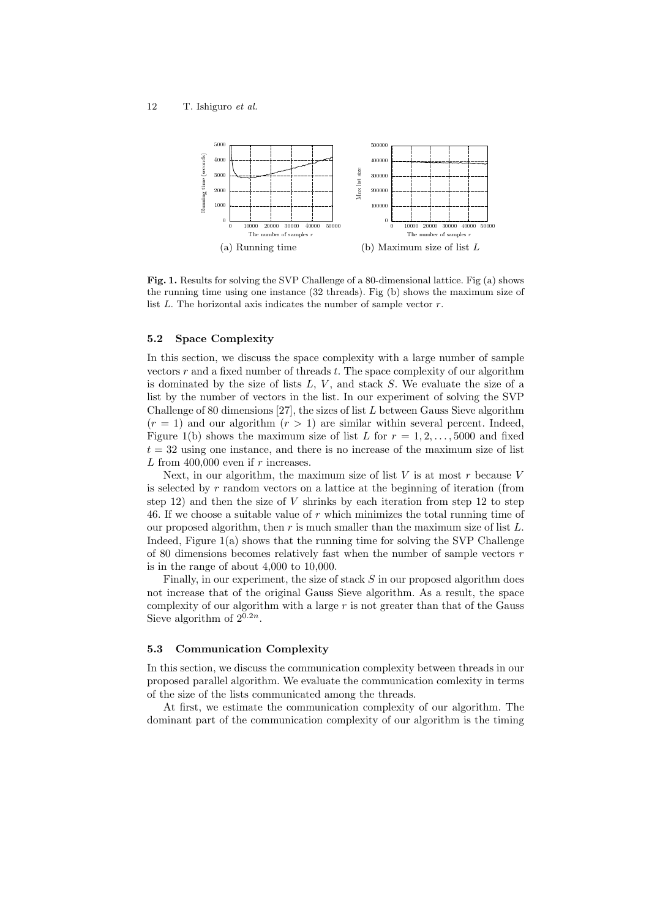

**Fig. 1.** Results for solving the SVP Challenge of a 80-dimensional lattice. Fig (a) shows the running time using one instance (32 threads). Fig (b) shows the maximum size of list *L*. The horizontal axis indicates the number of sample vector *r*.

### **5.2 Space Complexity**

In this section, we discuss the space complexity with a large number of sample vectors *r* and a fixed number of threads *t*. The space complexity of our algorithm is dominated by the size of lists *L*, *V* , and stack *S*. We evaluate the size of a list by the number of vectors in the list. In our experiment of solving the SVP Challenge of 80 dimensions [27], the sizes of list *L* between Gauss Sieve algorithm  $(r = 1)$  and our algorithm  $(r > 1)$  are similar within several percent. Indeed, Figure 1(b) shows the maximum size of list *L* for  $r = 1, 2, \ldots, 5000$  and fixed  $t = 32$  using one instance, and there is no increase of the maximum size of list *L* from 400,000 even if *r* increases.

Next, in our algorithm, the maximum size of list *V* is at most *r* because *V* is selected by *r* random vectors on a lattice at the beginning of iteration (from step  $12$ ) and then the size of *V* shrinks by each iteration from step  $12$  to step 46. If we choose a suitable value of *r* which minimizes the total running time of our proposed algorithm, then *r* is much smaller than the maximum size of list *L*. Indeed, Figure  $1(a)$  shows that the running time for solving the SVP Challenge of 80 dimensions becomes relatively fast when the number of sample vectors *r* is in the range of about 4,000 to 10,000.

Finally, in our experiment, the size of stack *S* in our proposed algorithm does not increase that of the original Gauss Sieve algorithm. As a result, the space complexity of our algorithm with a large *r* is not greater than that of the Gauss Sieve algorithm of  $2^{0.2n}$ .

## **5.3 Communication Complexity**

In this section, we discuss the communication complexity between threads in our proposed parallel algorithm. We evaluate the communication comlexity in terms of the size of the lists communicated among the threads.

At first, we estimate the communication complexity of our algorithm. The dominant part of the communication complexity of our algorithm is the timing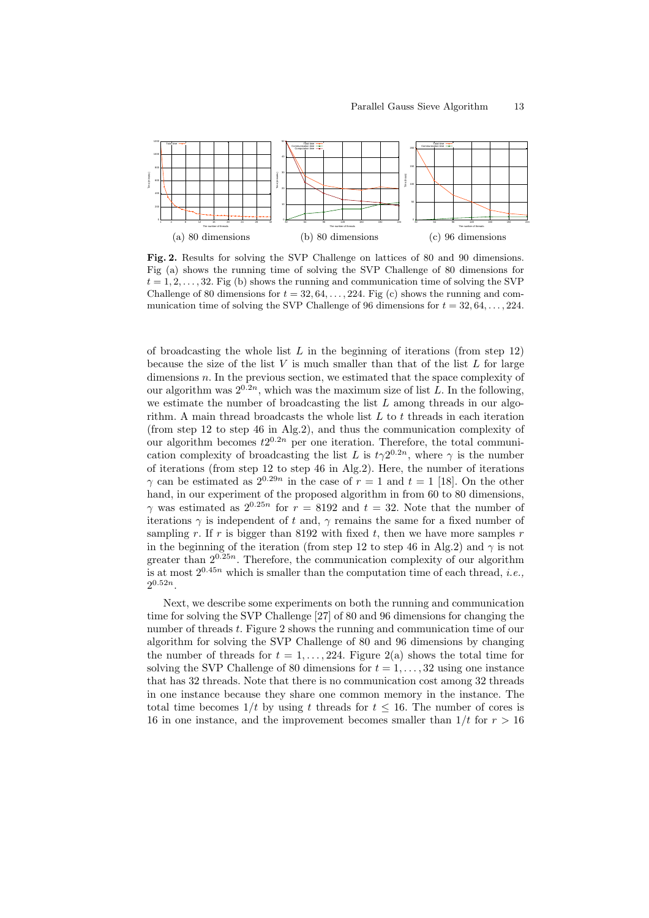

**Fig. 2.** Results for solving the SVP Challenge on lattices of 80 and 90 dimensions. Fig (a) shows the running time of solving the SVP Challenge of 80 dimensions for  $t = 1, 2, \ldots, 32$ . Fig (b) shows the running and communication time of solving the SVP Challenge of 80 dimensions for  $t = 32, 64, \ldots, 224$ . Fig (c) shows the running and communication time of solving the SVP Challenge of 96 dimensions for  $t = 32, 64, \ldots, 224$ .

of broadcasting the whole list *L* in the beginning of iterations (from step 12) because the size of the list *V* is much smaller than that of the list *L* for large dimensions *n*. In the previous section, we estimated that the space complexity of our algorithm was  $2^{0.2n}$ , which was the maximum size of list *L*. In the following, we estimate the number of broadcasting the list *L* among threads in our algorithm. A main thread broadcasts the whole list *L* to *t* threads in each iteration (from step 12 to step 46 in Alg.2), and thus the communication complexity of our algorithm becomes  $t2^{0.2n}$  per one iteration. Therefore, the total communication complexity of broadcasting the list *L* is  $t\gamma 2^{0.2n}$ , where  $\gamma$  is the number of iterations (from step 12 to step 46 in Alg.2). Here, the number of iterations *γ* can be estimated as  $2^{0.29n}$  in the case of  $r = 1$  and  $t = 1$  [18]. On the other hand, in our experiment of the proposed algorithm in from 60 to 80 dimensions, *γ* was estimated as  $2^{0.25n}$  for  $r = 8192$  and  $t = 32$ . Note that the number of iterations  $\gamma$  is independent of *t* and,  $\gamma$  remains the same for a fixed number of sampling *r*. If *r* is bigger than 8192 with fixed *t*, then we have more samples *r* in the beginning of the iteration (from step 12 to step 46 in Alg.2) and  $\gamma$  is not greater than  $2^{0.25n}$ . Therefore, the communication complexity of our algorithm is at most  $2^{0.45n}$  which is smaller than the computation time of each thread, *i.e.*,  $2^{0.52n}$ .

Next, we describe some experiments on both the running and communication time for solving the SVP Challenge [27] of 80 and 96 dimensions for changing the number of threads *t*. Figure 2 shows the running and communication time of our algorithm for solving the SVP Challenge of 80 and 96 dimensions by changing the number of threads for  $t = 1, \ldots, 224$ . Figure 2(a) shows the total time for solving the SVP Challenge of 80 dimensions for  $t = 1, \ldots, 32$  using one instance that has 32 threads. Note that there is no communication cost among 32 threads in one instance because they share one common memory in the instance. The total time becomes  $1/t$  by using t threads for  $t \leq 16$ . The number of cores is 16 in one instance, and the improvement becomes smaller than  $1/t$  for  $r > 16$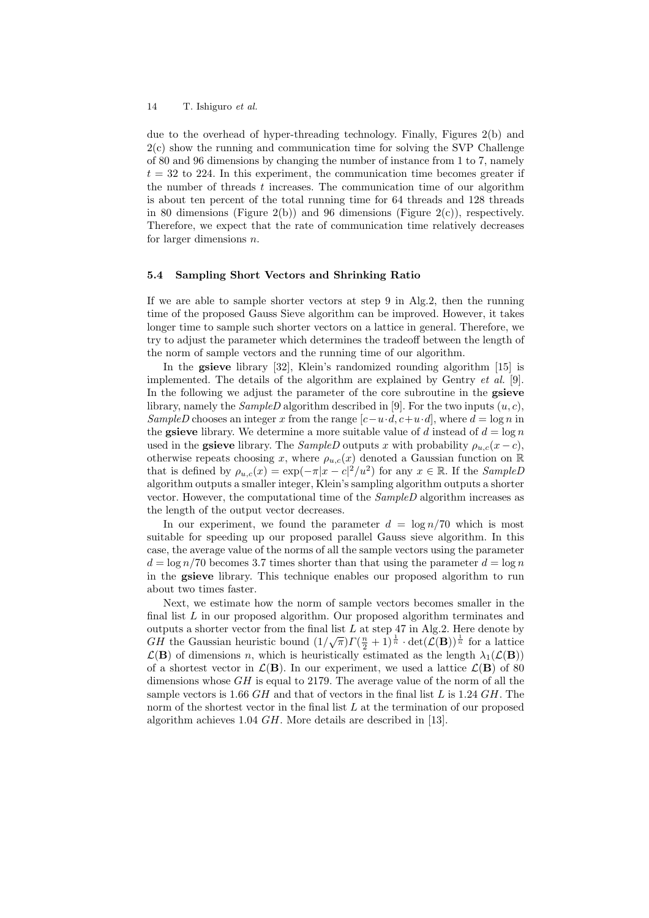due to the overhead of hyper-threading technology. Finally, Figures 2(b) and 2(c) show the running and communication time for solving the SVP Challenge of 80 and 96 dimensions by changing the number of instance from 1 to 7, namely  $t = 32$  to 224. In this experiment, the communication time becomes greater if the number of threads *t* increases. The communication time of our algorithm is about ten percent of the total running time for 64 threads and 128 threads in 80 dimensions (Figure 2(b)) and 96 dimensions (Figure 2(c)), respectively. Therefore, we expect that the rate of communication time relatively decreases for larger dimensions *n*.

#### **5.4 Sampling Short Vectors and Shrinking Ratio**

If we are able to sample shorter vectors at step 9 in Alg.2, then the running time of the proposed Gauss Sieve algorithm can be improved. However, it takes longer time to sample such shorter vectors on a lattice in general. Therefore, we try to adjust the parameter which determines the tradeoff between the length of the norm of sample vectors and the running time of our algorithm.

In the **gsieve** library [32], Klein's randomized rounding algorithm [15] is implemented. The details of the algorithm are explained by Gentry *et al.* [9]. In the following we adjust the parameter of the core subroutine in the **gsieve** library, namely the *SampleD* algorithm described in [9]. For the two inputs (*u, c*), *SampleD* chooses an integer *x* from the range  $[c - u \cdot d, c + u \cdot d]$ , where  $d = \log n$  in the **gsieve** library. We determine a more suitable value of *d* instead of  $d = \log n$ used in the **gsieve** library. The *SampleD* outputs *x* with probability  $\rho_{u,c}(x-c)$ , otherwise repeats choosing *x*, where  $\rho_{u,c}(x)$  denoted a Gaussian function on R that is defined by  $\rho_{u,c}(x) = \exp(-\pi |x - c|^2 / u^2)$  for any  $x \in \mathbb{R}$ . If the *SampleD* algorithm outputs a smaller integer, Klein's sampling algorithm outputs a shorter vector. However, the computational time of the *SampleD* algorithm increases as the length of the output vector decreases.

In our experiment, we found the parameter  $d = \log n / 70$  which is most suitable for speeding up our proposed parallel Gauss sieve algorithm. In this case, the average value of the norms of all the sample vectors using the parameter  $d = \log n/70$  becomes 3.7 times shorter than that using the parameter  $d = \log n$ in the **gsieve** library. This technique enables our proposed algorithm to run about two times faster.

Next, we estimate how the norm of sample vectors becomes smaller in the final list L in our proposed algorithm. Our proposed algorithm terminates and outputs a shorter vector from the final list *L* at step 47 in Alg.2. Here denote by *GH* the Gaussian heuristic bound  $(1/\sqrt{\pi})\Gamma(\frac{n}{2}+1)^{\frac{1}{n}} \cdot det(\mathcal{L}(\mathbf{B}))^{\frac{1}{n}}$  for a lattice  $\mathcal{L}(\mathbf{B})$  of dimensions *n*, which is heuristically estimated as the length  $\lambda_1(\mathcal{L}(\mathbf{B}))$ of a shortest vector in  $\mathcal{L}(\mathbf{B})$ . In our experiment, we used a lattice  $\mathcal{L}(\mathbf{B})$  of 80 dimensions whose *GH* is equal to 2179. The average value of the norm of all the sample vectors is 1.66 *GH* and that of vectors in the final list *L* is 1.24 *GH*. The norm of the shortest vector in the final list *L* at the termination of our proposed algorithm achieves 1.04 *GH*. More details are described in [13].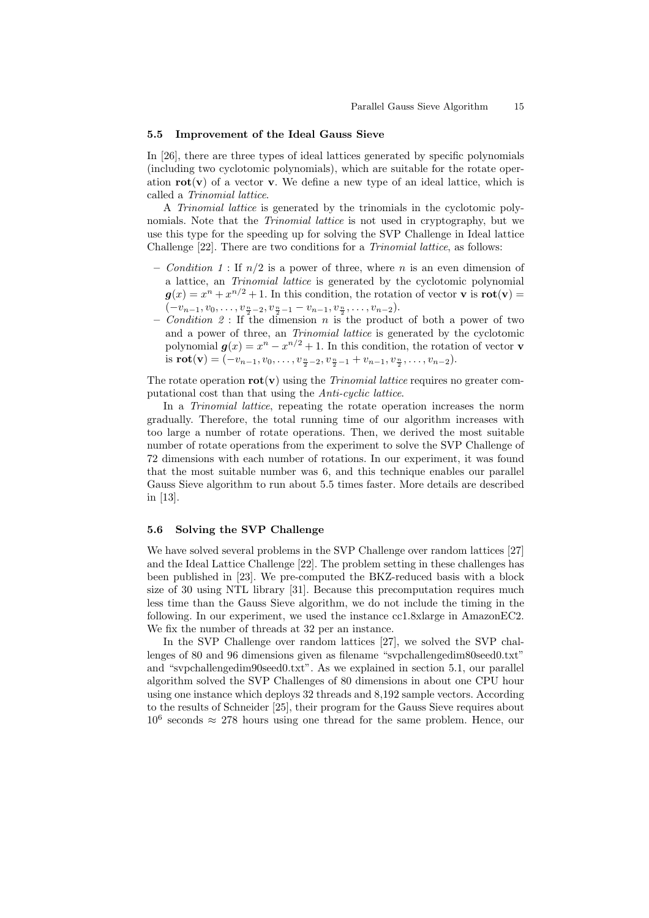#### **5.5 Improvement of the Ideal Gauss Sieve**

In [26], there are three types of ideal lattices generated by specific polynomials (including two cyclotomic polynomials), which are suitable for the rotate operation  $\text{rot}(v)$  of a vector **v**. We define a new type of an ideal lattice, which is called a *Trinomial lattice*.

A *Trinomial lattice* is generated by the trinomials in the cyclotomic polynomials. Note that the *Trinomial lattice* is not used in cryptography, but we use this type for the speeding up for solving the SVP Challenge in Ideal lattice Challenge [22]. There are two conditions for a *Trinomial lattice*, as follows:

- **–** *Condition 1* : If *n/*2 is a power of three, where *n* is an even dimension of a lattice, an *Trinomial lattice* is generated by the cyclotomic polynomial  $g(x) = x^n + x^{n/2} + 1$ . In this condition, the rotation of vector **v** is **rot**(**v**) =  $(-v_{n-1}, v_0, \ldots, v_{\frac{n}{2}-2}, v_{\frac{n}{2}-1} - v_{n-1}, v_{\frac{n}{2}}, \ldots, v_{n-2}).$
- **–** *Condition 2* : If the dimension *n* is the product of both a power of two and a power of three, an *Trinomial lattice* is generated by the cyclotomic polynomial  $g(x) = x^n - x^{n/2} + 1$ . In this condition, the rotation of vector **v** is  $\text{rot}(\mathbf{v}) = (-v_{n-1}, v_0, \dots, v_{\frac{n}{2}-2}, v_{\frac{n}{2}-1} + v_{n-1}, v_{\frac{n}{2}}, \dots, v_{n-2}).$

The rotate operation  $\text{rot}(\mathbf{v})$  using the *Trinomial lattice* requires no greater computational cost than that using the *Anti-cyclic lattice*.

In a *Trinomial lattice*, repeating the rotate operation increases the norm gradually. Therefore, the total running time of our algorithm increases with too large a number of rotate operations. Then, we derived the most suitable number of rotate operations from the experiment to solve the SVP Challenge of 72 dimensions with each number of rotations. In our experiment, it was found that the most suitable number was 6, and this technique enables our parallel Gauss Sieve algorithm to run about 5.5 times faster. More details are described in [13].

## **5.6 Solving the SVP Challenge**

We have solved several problems in the SVP Challenge over random lattices [27] and the Ideal Lattice Challenge [22]. The problem setting in these challenges has been published in [23]. We pre-computed the BKZ-reduced basis with a block size of 30 using NTL library [31]. Because this precomputation requires much less time than the Gauss Sieve algorithm, we do not include the timing in the following. In our experiment, we used the instance cc1.8xlarge in AmazonEC2. We fix the number of threads at 32 per an instance.

In the SVP Challenge over random lattices [27], we solved the SVP challenges of 80 and 96 dimensions given as filename "svpchallengedim80seed0.txt" and "svpchallengedim90seed0.txt". As we explained in section 5.1, our parallel algorithm solved the SVP Challenges of 80 dimensions in about one CPU hour using one instance which deploys 32 threads and 8,192 sample vectors. According to the results of Schneider [25], their program for the Gauss Sieve requires about 10<sup>6</sup> seconds *≈* 278 hours using one thread for the same problem. Hence, our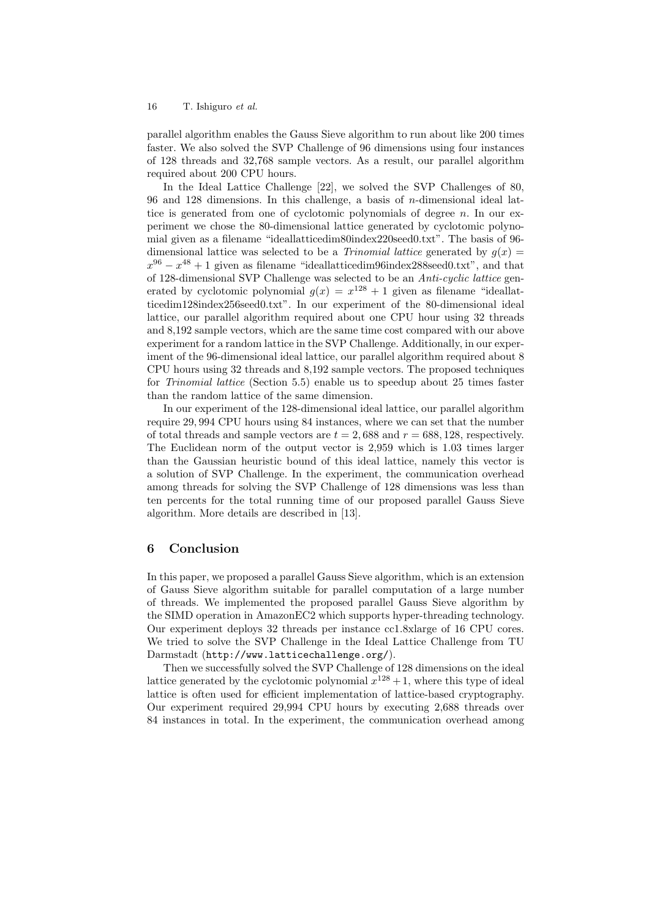## 16 T. Ishiguro *et al.*

parallel algorithm enables the Gauss Sieve algorithm to run about like 200 times faster. We also solved the SVP Challenge of 96 dimensions using four instances of 128 threads and 32,768 sample vectors. As a result, our parallel algorithm required about 200 CPU hours.

In the Ideal Lattice Challenge [22], we solved the SVP Challenges of 80, 96 and 128 dimensions. In this challenge, a basis of *n*-dimensional ideal lattice is generated from one of cyclotomic polynomials of degree *n*. In our experiment we chose the 80-dimensional lattice generated by cyclotomic polynomial given as a filename "ideallatticedim80index220seed0.txt". The basis of 96 dimensional lattice was selected to be a *Trinomial lattice* generated by  $g(x) =$  $x^{96} - x^{48} + 1$  given as filename "ideallatticedim96index288seed0.txt", and that of 128-dimensional SVP Challenge was selected to be an *Anti-cyclic lattice* generated by cyclotomic polynomial  $g(x) = x^{128} + 1$  given as filename "ideallatticedim128index256seed0.txt". In our experiment of the 80-dimensional ideal lattice, our parallel algorithm required about one CPU hour using 32 threads and 8,192 sample vectors, which are the same time cost compared with our above experiment for a random lattice in the SVP Challenge. Additionally, in our experiment of the 96-dimensional ideal lattice, our parallel algorithm required about 8 CPU hours using 32 threads and 8,192 sample vectors. The proposed techniques for *Trinomial lattice* (Section 5.5) enable us to speedup about 25 times faster than the random lattice of the same dimension.

In our experiment of the 128-dimensional ideal lattice, our parallel algorithm require 29*,* 994 CPU hours using 84 instances, where we can set that the number of total threads and sample vectors are  $t = 2,688$  and  $r = 688,128$ , respectively. The Euclidean norm of the output vector is 2,959 which is 1.03 times larger than the Gaussian heuristic bound of this ideal lattice, namely this vector is a solution of SVP Challenge. In the experiment, the communication overhead among threads for solving the SVP Challenge of 128 dimensions was less than ten percents for the total running time of our proposed parallel Gauss Sieve algorithm. More details are described in [13].

## **6 Conclusion**

In this paper, we proposed a parallel Gauss Sieve algorithm, which is an extension of Gauss Sieve algorithm suitable for parallel computation of a large number of threads. We implemented the proposed parallel Gauss Sieve algorithm by the SIMD operation in AmazonEC2 which supports hyper-threading technology. Our experiment deploys 32 threads per instance cc1.8xlarge of 16 CPU cores. We tried to solve the SVP Challenge in the Ideal Lattice Challenge from TU Darmstadt (http://www.latticechallenge.org/).

Then we successfully solved the SVP Challenge of 128 dimensions on the ideal lattice generated by the cyclotomic polynomial  $x^{128} + 1$ , where this type of ideal lattice is often used for efficient implementation of lattice-based cryptography. Our experiment required 29,994 CPU hours by executing 2,688 threads over 84 instances in total. In the experiment, the communication overhead among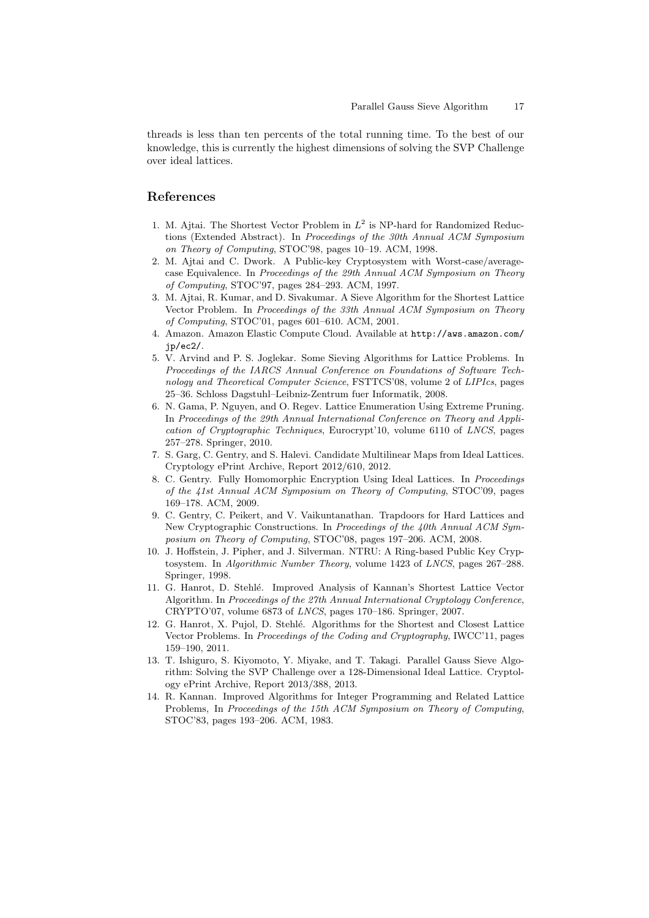threads is less than ten percents of the total running time. To the best of our knowledge, this is currently the highest dimensions of solving the SVP Challenge over ideal lattices.

# **References**

- 1. M. Ajtai. The Shortest Vector Problem in  $L^2$  is NP-hard for Randomized Reductions (Extended Abstract). In *Proceedings of the 30th Annual ACM Symposium on Theory of Computing*, STOC'98, pages 10–19. ACM, 1998.
- 2. M. Ajtai and C. Dwork. A Public-key Cryptosystem with Worst-case/averagecase Equivalence. In *Proceedings of the 29th Annual ACM Symposium on Theory of Computing*, STOC'97, pages 284–293. ACM, 1997.
- 3. M. Ajtai, R. Kumar, and D. Sivakumar. A Sieve Algorithm for the Shortest Lattice Vector Problem. In *Proceedings of the 33th Annual ACM Symposium on Theory of Computing*, STOC'01, pages 601–610. ACM, 2001.
- 4. Amazon. Amazon Elastic Compute Cloud. Available at http://aws.amazon.com/ jp/ec2/.
- 5. V. Arvind and P. S. Joglekar. Some Sieving Algorithms for Lattice Problems. In *Proceedings of the IARCS Annual Conference on Foundations of Software Technology and Theoretical Computer Science*, FSTTCS'08, volume 2 of *LIPIcs*, pages 25–36. Schloss Dagstuhl–Leibniz-Zentrum fuer Informatik, 2008.
- 6. N. Gama, P. Nguyen, and O. Regev. Lattice Enumeration Using Extreme Pruning. In *Proceedings of the 29th Annual International Conference on Theory and Application of Cryptographic Techniques*, Eurocrypt'10, volume 6110 of *LNCS*, pages 257–278. Springer, 2010.
- 7. S. Garg, C. Gentry, and S. Halevi. Candidate Multilinear Maps from Ideal Lattices. Cryptology ePrint Archive, Report 2012/610, 2012.
- 8. C. Gentry. Fully Homomorphic Encryption Using Ideal Lattices. In *Proceedings of the 41st Annual ACM Symposium on Theory of Computing*, STOC'09, pages 169–178. ACM, 2009.
- 9. C. Gentry, C. Peikert, and V. Vaikuntanathan. Trapdoors for Hard Lattices and New Cryptographic Constructions. In *Proceedings of the 40th Annual ACM Symposium on Theory of Computing*, STOC'08, pages 197–206. ACM, 2008.
- 10. J. Hoffstein, J. Pipher, and J. Silverman. NTRU: A Ring-based Public Key Cryptosystem. In *Algorithmic Number Theory*, volume 1423 of *LNCS*, pages 267–288. Springer, 1998.
- 11. G. Hanrot, D. Stehl´e. Improved Analysis of Kannan's Shortest Lattice Vector Algorithm. In *Proceedings of the 27th Annual International Cryptology Conference*, CRYPTO'07, volume 6873 of *LNCS*, pages 170–186. Springer, 2007.
- 12. G. Hanrot, X. Pujol, D. Stehlé. Algorithms for the Shortest and Closest Lattice Vector Problems. In *Proceedings of the Coding and Cryptography*, IWCC'11, pages 159–190, 2011.
- 13. T. Ishiguro, S. Kiyomoto, Y. Miyake, and T. Takagi. Parallel Gauss Sieve Algorithm: Solving the SVP Challenge over a 128-Dimensional Ideal Lattice. Cryptology ePrint Archive, Report 2013/388, 2013.
- 14. R. Kannan. Improved Algorithms for Integer Programming and Related Lattice Problems, In *Proceedings of the 15th ACM Symposium on Theory of Computing*, STOC'83, pages 193–206. ACM, 1983.